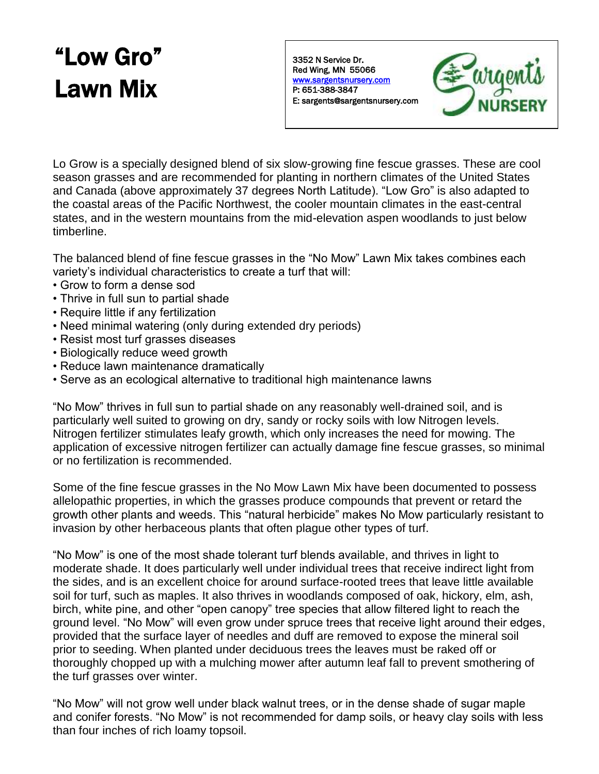# "Low Gro" Lawn Mix

3352 N Service Dr. Red Wing, MN 55066 [www.sargentsnursery.com](http://www.sargentsnursery.com/)  P: 651-388-3847 E: sargents@sargentsnursery.com



Lo Grow is a specially designed blend of six slow-growing fine fescue grasses. These are cool season grasses and are recommended for planting in northern climates of the United States and Canada (above approximately 37 degrees North Latitude). "Low Gro" is also adapted to the coastal areas of the Pacific Northwest, the cooler mountain climates in the east-central states, and in the western mountains from the mid-elevation aspen woodlands to just below timberline.

The balanced blend of fine fescue grasses in the "No Mow" Lawn Mix takes combines each variety's individual characteristics to create a turf that will:

- Grow to form a dense sod
- Thrive in full sun to partial shade
- Require little if any fertilization
- Need minimal watering (only during extended dry periods)
- Resist most turf grasses diseases
- Biologically reduce weed growth
- Reduce lawn maintenance dramatically
- Serve as an ecological alternative to traditional high maintenance lawns

"No Mow" thrives in full sun to partial shade on any reasonably well-drained soil, and is particularly well suited to growing on dry, sandy or rocky soils with low Nitrogen levels. Nitrogen fertilizer stimulates leafy growth, which only increases the need for mowing. The application of excessive nitrogen fertilizer can actually damage fine fescue grasses, so minimal or no fertilization is recommended.

Some of the fine fescue grasses in the No Mow Lawn Mix have been documented to possess allelopathic properties, in which the grasses produce compounds that prevent or retard the growth other plants and weeds. This "natural herbicide" makes No Mow particularly resistant to invasion by other herbaceous plants that often plague other types of turf.

"No Mow" is one of the most shade tolerant turf blends available, and thrives in light to moderate shade. It does particularly well under individual trees that receive indirect light from the sides, and is an excellent choice for around surface-rooted trees that leave little available soil for turf, such as maples. It also thrives in woodlands composed of oak, hickory, elm, ash, birch, white pine, and other "open canopy" tree species that allow filtered light to reach the ground level. "No Mow" will even grow under spruce trees that receive light around their edges, provided that the surface layer of needles and duff are removed to expose the mineral soil prior to seeding. When planted under deciduous trees the leaves must be raked off or thoroughly chopped up with a mulching mower after autumn leaf fall to prevent smothering of the turf grasses over winter.

"No Mow" will not grow well under black walnut trees, or in the dense shade of sugar maple and conifer forests. "No Mow" is not recommended for damp soils, or heavy clay soils with less than four inches of rich loamy topsoil.